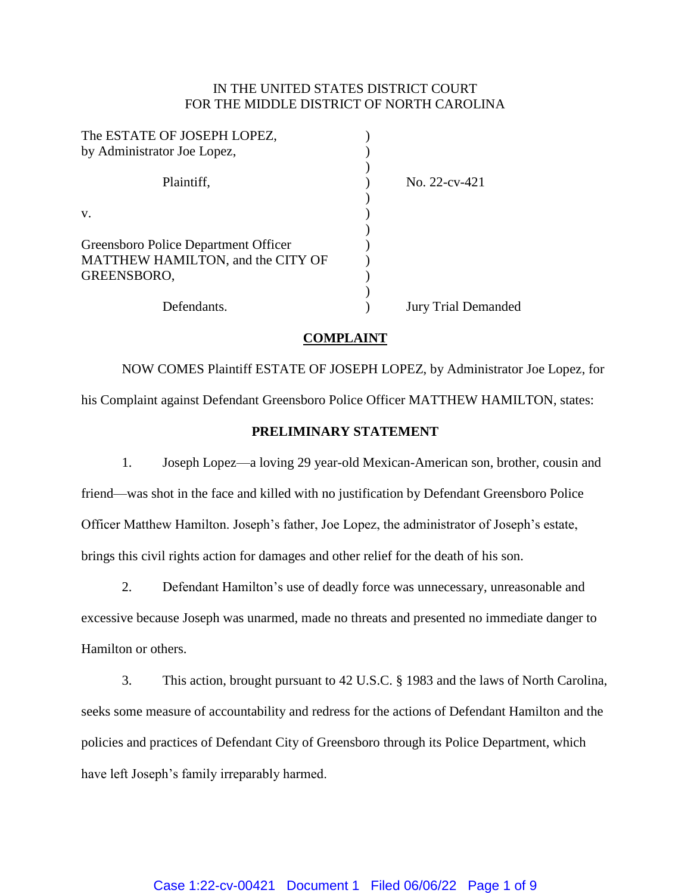# IN THE UNITED STATES DISTRICT COURT FOR THE MIDDLE DISTRICT OF NORTH CAROLINA

| The ESTATE OF JOSEPH LOPEZ,          |                            |
|--------------------------------------|----------------------------|
| by Administrator Joe Lopez,          |                            |
| Plaintiff,                           | No. $22$ -cv-421           |
| V.                                   |                            |
|                                      |                            |
| Greensboro Police Department Officer |                            |
| MATTHEW HAMILTON, and the CITY OF    |                            |
| GREENSBORO,                          |                            |
|                                      |                            |
| Defendants.                          | <b>Jury Trial Demanded</b> |
|                                      |                            |

## **COMPLAINT**

NOW COMES Plaintiff ESTATE OF JOSEPH LOPEZ, by Administrator Joe Lopez, for his Complaint against Defendant Greensboro Police Officer MATTHEW HAMILTON, states:

### **PRELIMINARY STATEMENT**

1. Joseph Lopez—a loving 29 year-old Mexican-American son, brother, cousin and friend—was shot in the face and killed with no justification by Defendant Greensboro Police Officer Matthew Hamilton. Joseph's father, Joe Lopez, the administrator of Joseph's estate, brings this civil rights action for damages and other relief for the death of his son.

2. Defendant Hamilton's use of deadly force was unnecessary, unreasonable and excessive because Joseph was unarmed, made no threats and presented no immediate danger to Hamilton or others.

3. This action, brought pursuant to 42 U.S.C. § 1983 and the laws of North Carolina, seeks some measure of accountability and redress for the actions of Defendant Hamilton and the policies and practices of Defendant City of Greensboro through its Police Department, which have left Joseph's family irreparably harmed.

## Case 1:22-cv-00421 Document 1 Filed 06/06/22 Page 1 of 9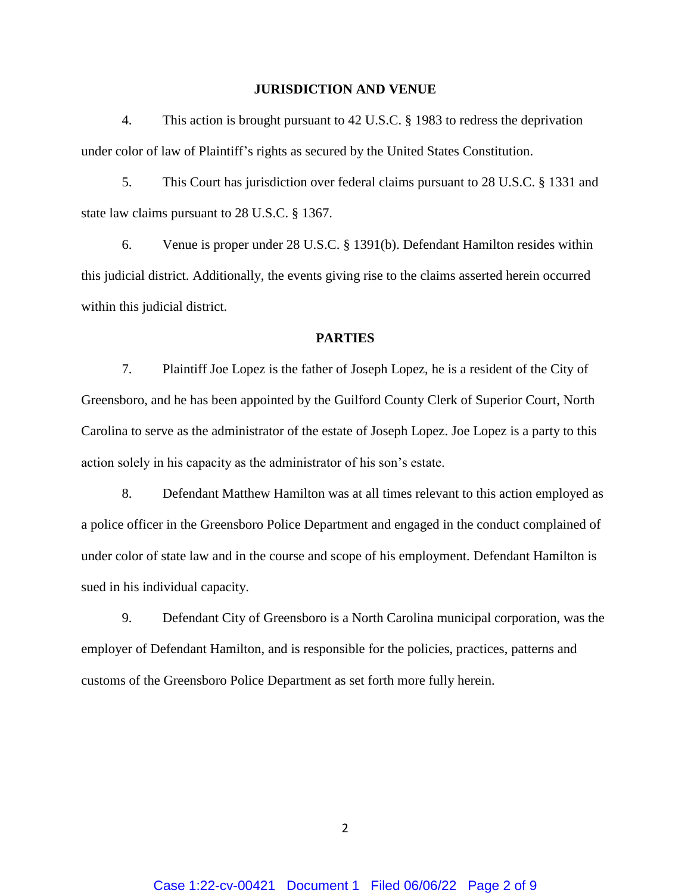#### **JURISDICTION AND VENUE**

4. This action is brought pursuant to 42 U.S.C. § 1983 to redress the deprivation under color of law of Plaintiff's rights as secured by the United States Constitution.

5. This Court has jurisdiction over federal claims pursuant to 28 U.S.C. § 1331 and state law claims pursuant to 28 U.S.C. § 1367.

6. Venue is proper under 28 U.S.C. § 1391(b). Defendant Hamilton resides within this judicial district. Additionally, the events giving rise to the claims asserted herein occurred within this judicial district.

### **PARTIES**

7. Plaintiff Joe Lopez is the father of Joseph Lopez, he is a resident of the City of Greensboro, and he has been appointed by the Guilford County Clerk of Superior Court, North Carolina to serve as the administrator of the estate of Joseph Lopez. Joe Lopez is a party to this action solely in his capacity as the administrator of his son's estate.

8. Defendant Matthew Hamilton was at all times relevant to this action employed as a police officer in the Greensboro Police Department and engaged in the conduct complained of under color of state law and in the course and scope of his employment. Defendant Hamilton is sued in his individual capacity.

9. Defendant City of Greensboro is a North Carolina municipal corporation, was the employer of Defendant Hamilton, and is responsible for the policies, practices, patterns and customs of the Greensboro Police Department as set forth more fully herein.

 $\overline{\mathcal{L}}$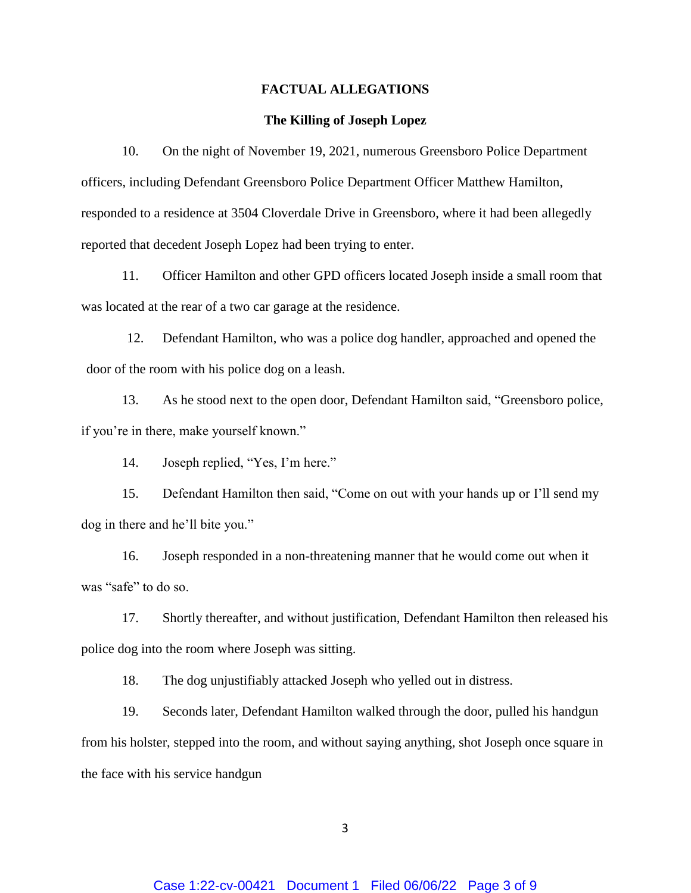#### **FACTUAL ALLEGATIONS**

#### **The Killing of Joseph Lopez**

10. On the night of November 19, 2021, numerous Greensboro Police Department officers, including Defendant Greensboro Police Department Officer Matthew Hamilton, responded to a residence at 3504 Cloverdale Drive in Greensboro, where it had been allegedly reported that decedent Joseph Lopez had been trying to enter.

11. Officer Hamilton and other GPD officers located Joseph inside a small room that was located at the rear of a two car garage at the residence.

12. Defendant Hamilton, who was a police dog handler, approached and opened the door of the room with his police dog on a leash.

13. As he stood next to the open door, Defendant Hamilton said, "Greensboro police, if you're in there, make yourself known."

14. Joseph replied, "Yes, I'm here."

15. Defendant Hamilton then said, "Come on out with your hands up or I'll send my dog in there and he'll bite you."

16. Joseph responded in a non-threatening manner that he would come out when it was "safe" to do so.

17. Shortly thereafter, and without justification, Defendant Hamilton then released his police dog into the room where Joseph was sitting.

18. The dog unjustifiably attacked Joseph who yelled out in distress.

19. Seconds later, Defendant Hamilton walked through the door, pulled his handgun from his holster, stepped into the room, and without saying anything, shot Joseph once square in the face with his service handgun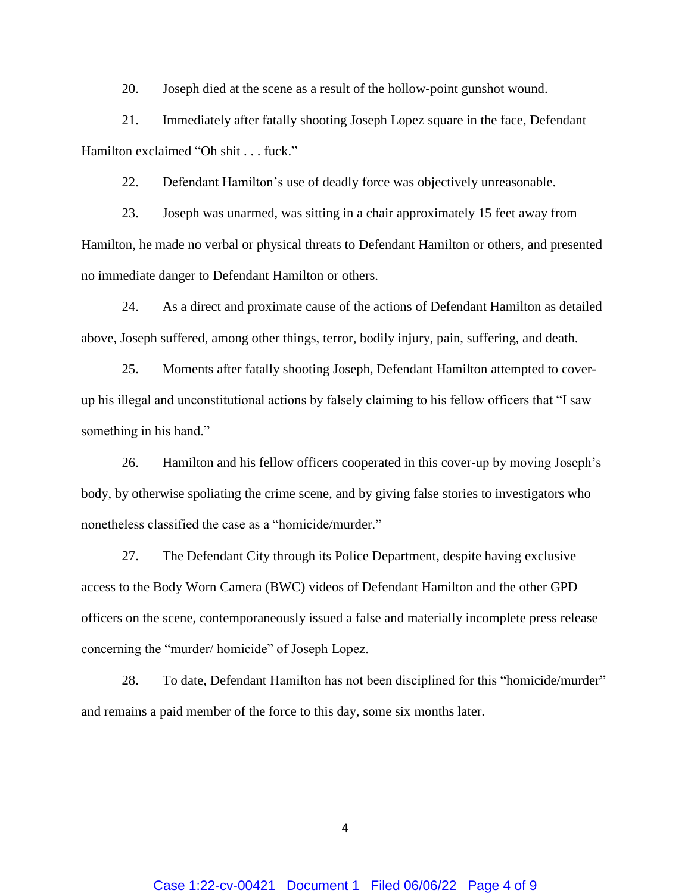20. Joseph died at the scene as a result of the hollow-point gunshot wound.

21. Immediately after fatally shooting Joseph Lopez square in the face, Defendant Hamilton exclaimed "Oh shit . . . fuck."

22. Defendant Hamilton's use of deadly force was objectively unreasonable.

23. Joseph was unarmed, was sitting in a chair approximately 15 feet away from Hamilton, he made no verbal or physical threats to Defendant Hamilton or others, and presented no immediate danger to Defendant Hamilton or others.

24. As a direct and proximate cause of the actions of Defendant Hamilton as detailed above, Joseph suffered, among other things, terror, bodily injury, pain, suffering, and death.

25. Moments after fatally shooting Joseph, Defendant Hamilton attempted to coverup his illegal and unconstitutional actions by falsely claiming to his fellow officers that "I saw something in his hand."

26. Hamilton and his fellow officers cooperated in this cover-up by moving Joseph's body, by otherwise spoliating the crime scene, and by giving false stories to investigators who nonetheless classified the case as a "homicide/murder."

27. The Defendant City through its Police Department, despite having exclusive access to the Body Worn Camera (BWC) videos of Defendant Hamilton and the other GPD officers on the scene, contemporaneously issued a false and materially incomplete press release concerning the "murder/ homicide" of Joseph Lopez.

28. To date, Defendant Hamilton has not been disciplined for this "homicide/murder" and remains a paid member of the force to this day, some six months later.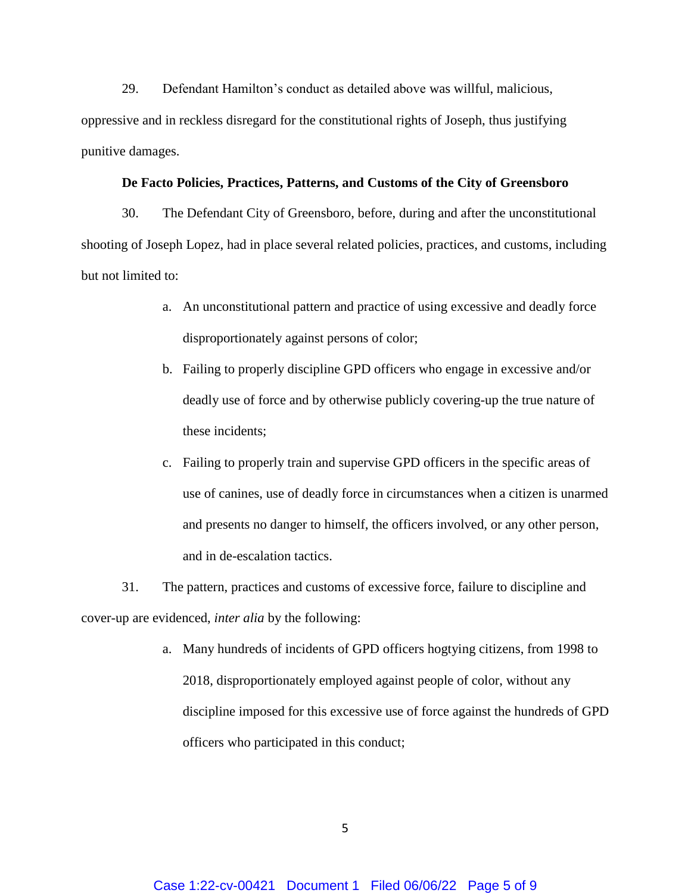29. Defendant Hamilton's conduct as detailed above was willful, malicious, oppressive and in reckless disregard for the constitutional rights of Joseph, thus justifying punitive damages.

#### **De Facto Policies, Practices, Patterns, and Customs of the City of Greensboro**

30. The Defendant City of Greensboro, before, during and after the unconstitutional shooting of Joseph Lopez, had in place several related policies, practices, and customs, including but not limited to:

- a. An unconstitutional pattern and practice of using excessive and deadly force disproportionately against persons of color;
- b. Failing to properly discipline GPD officers who engage in excessive and/or deadly use of force and by otherwise publicly covering-up the true nature of these incidents;
- c. Failing to properly train and supervise GPD officers in the specific areas of use of canines, use of deadly force in circumstances when a citizen is unarmed and presents no danger to himself, the officers involved, or any other person, and in de-escalation tactics.
- 31. The pattern, practices and customs of excessive force, failure to discipline and cover-up are evidenced, *inter alia* by the following:
	- a. Many hundreds of incidents of GPD officers hogtying citizens, from 1998 to 2018, disproportionately employed against people of color, without any discipline imposed for this excessive use of force against the hundreds of GPD officers who participated in this conduct;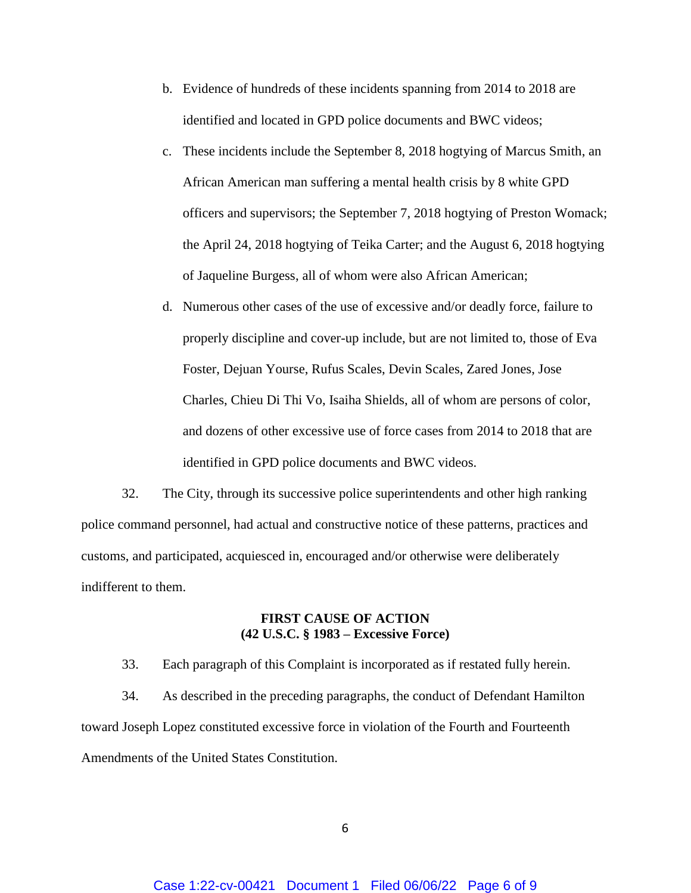- b. Evidence of hundreds of these incidents spanning from 2014 to 2018 are identified and located in GPD police documents and BWC videos;
- c. These incidents include the September 8, 2018 hogtying of Marcus Smith, an African American man suffering a mental health crisis by 8 white GPD officers and supervisors; the September 7, 2018 hogtying of Preston Womack; the April 24, 2018 hogtying of Teika Carter; and the August 6, 2018 hogtying of Jaqueline Burgess, all of whom were also African American;
- d. Numerous other cases of the use of excessive and/or deadly force, failure to properly discipline and cover-up include, but are not limited to, those of Eva Foster, Dejuan Yourse, Rufus Scales, Devin Scales, Zared Jones, Jose Charles, Chieu Di Thi Vo, Isaiha Shields, all of whom are persons of color, and dozens of other excessive use of force cases from 2014 to 2018 that are identified in GPD police documents and BWC videos.

32. The City, through its successive police superintendents and other high ranking police command personnel, had actual and constructive notice of these patterns, practices and customs, and participated, acquiesced in, encouraged and/or otherwise were deliberately indifferent to them.

## **FIRST CAUSE OF ACTION (42 U.S.C. § 1983 – Excessive Force)**

33. Each paragraph of this Complaint is incorporated as if restated fully herein. 34. As described in the preceding paragraphs, the conduct of Defendant Hamilton toward Joseph Lopez constituted excessive force in violation of the Fourth and Fourteenth Amendments of the United States Constitution.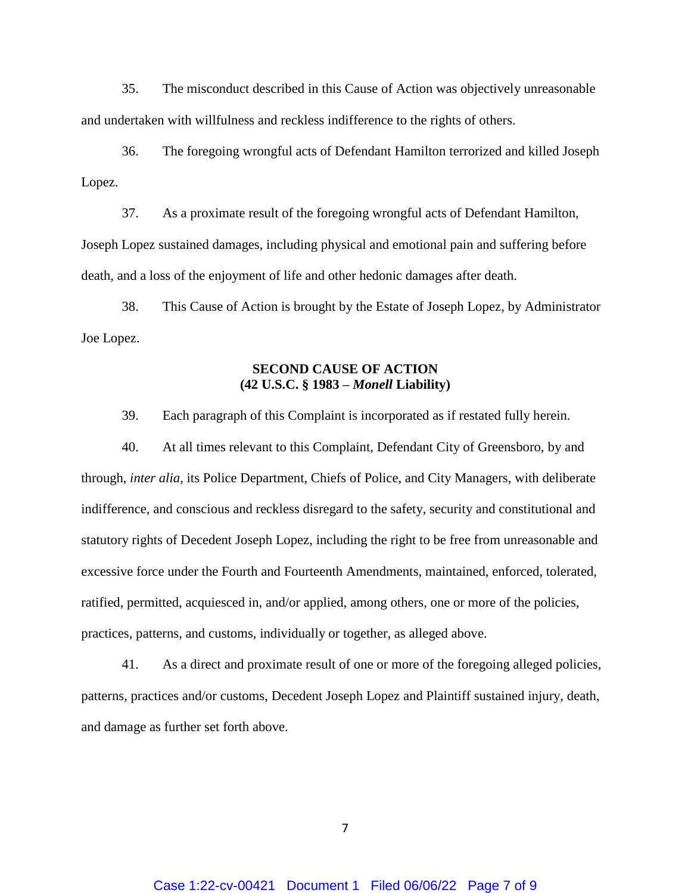35. The misconduct described in this Cause of Action was objectively unreasonable and undertaken with willfulness and reckless indifference to the rights of others.

36. The foregoing wrongful acts of Defendant Hamilton terrorized and killed Joseph Lopez.

37. As a proximate result of the foregoing wrongful acts of Defendant Hamilton, Joseph Lopez sustained damages, including physical and emotional pain and suffering before death, and a loss of the enjoyment of life and other hedonic damages after death.

38. This Cause of Action is brought by the Estate of Joseph Lopez, by Administrator Joe Lopez.

## **SECOND CAUSE OF ACTION (42 U.S.C. § 1983 –** *Monell* **Liability)**

39. Each paragraph of this Complaint is incorporated as if restated fully herein.

40. At all times relevant to this Complaint, Defendant City of Greensboro, by and through, *inter alia*, its Police Department, Chiefs of Police, and City Managers, with deliberate indifference, and conscious and reckless disregard to the safety, security and constitutional and statutory rights of Decedent Joseph Lopez, including the right to be free from unreasonable and excessive force under the Fourth and Fourteenth Amendments, maintained, enforced, tolerated, ratified, permitted, acquiesced in, and/or applied, among others, one or more of the policies, practices, patterns, and customs, individually or together, as alleged above.

41. As a direct and proximate result of one or more of the foregoing alleged policies, patterns, practices and/or customs, Decedent Joseph Lopez and Plaintiff sustained injury, death, and damage as further set forth above.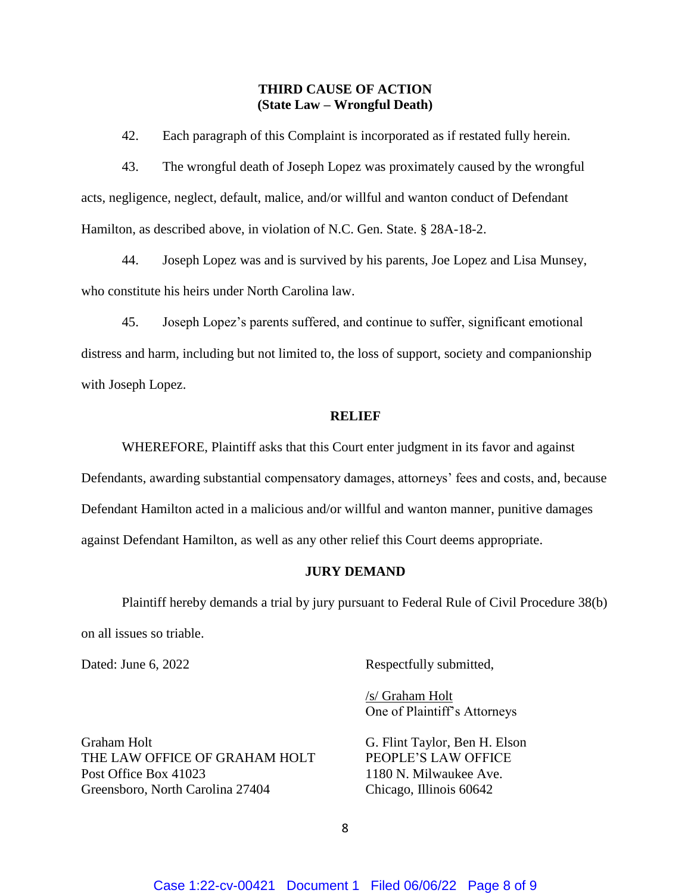## **THIRD CAUSE OF ACTION (State Law – Wrongful Death)**

42. Each paragraph of this Complaint is incorporated as if restated fully herein.

43. The wrongful death of Joseph Lopez was proximately caused by the wrongful acts, negligence, neglect, default, malice, and/or willful and wanton conduct of Defendant Hamilton, as described above, in violation of N.C. Gen. State. § 28A-18-2.

44. Joseph Lopez was and is survived by his parents, Joe Lopez and Lisa Munsey, who constitute his heirs under North Carolina law.

45. Joseph Lopez's parents suffered, and continue to suffer, significant emotional distress and harm, including but not limited to, the loss of support, society and companionship with Joseph Lopez.

#### **RELIEF**

WHEREFORE, Plaintiff asks that this Court enter judgment in its favor and against Defendants, awarding substantial compensatory damages, attorneys' fees and costs, and, because Defendant Hamilton acted in a malicious and/or willful and wanton manner, punitive damages against Defendant Hamilton, as well as any other relief this Court deems appropriate.

### **JURY DEMAND**

Plaintiff hereby demands a trial by jury pursuant to Federal Rule of Civil Procedure 38(b) on all issues so triable.

Dated: June 6, 2022 Respectfully submitted,

/s/ Graham Holt One of Plaintiff's Attorneys

Graham Holt G. Flint Taylor, Ben H. Elson THE LAW OFFICE OF GRAHAM HOLT PEOPLE'S LAW OFFICE Post Office Box 41023 1180 N. Milwaukee Ave. Greensboro, North Carolina 27404 Chicago, Illinois 60642